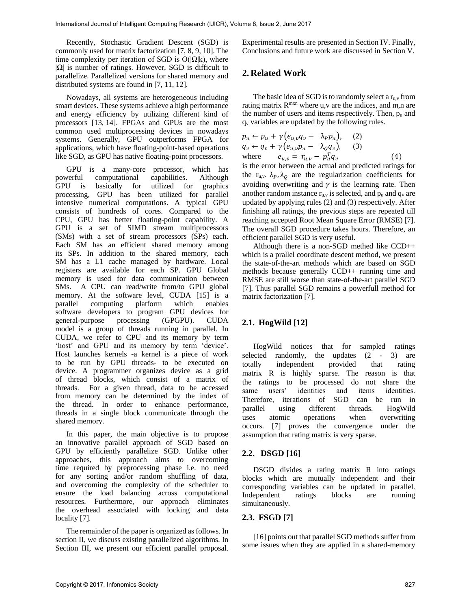Recently, Stochastic Gradient Descent (SGD) is commonly used for matrix factorization [7, 8, 9, 10]. The time complexity per iteration of SGD is  $O(|\Omega|k)$ , where |Ω| is number of ratings. However, SGD is difficult to parallelize. Parallelized versions for shared memory and distributed systems are found in [7, 11, 12].

Nowadays, all systems are heterogeneous including smart devices. These systems achieve a high performance and energy efficiency by utilizing different kind of processors [13, 14]. FPGAs and GPUs are the most common used multiprocessing devices in nowadays systems. Generally, GPU outperforms FPGA for applications, which have floating-point-based operations like SGD, as GPU has native floating-point processors.

GPU is a many-core processor, which has powerful computational capabilities. Although GPU is basically for utilized for graphics processing, GPU has been utilized for parallel intensive numerical computations. A typical GPU consists of hundreds of cores. Compared to the CPU, GPU has better floating-point capability. A GPU is a set of SIMD stream multiprocessors (SMs) with a set of stream processors (SPs) each. Each SM has an efficient shared memory among its SPs. In addition to the shared memory, each SM has a L1 cache managed by hardware. Local registers are available for each SP. GPU Global memory is used for data communication between SMs. A CPU can read/write from/to GPU global memory. At the software level, CUDA [15] is a parallel computing platform which enables software developers to program GPU devices for general-purpose processing (GPGPU). CUDA model is a group of threads running in parallel. In CUDA, we refer to CPU and its memory by term 'host' and GPU and its memory by term 'device'. Host launches kernels -a kernel is a piece of work to be run by GPU threads- to be executed on device. A programmer organizes device as a grid of thread blocks, which consist of a matrix of threads. For a given thread, data to be accessed from memory can be determined by the index of the thread. In order to enhance performance, threads in a single block communicate through the shared memory.

In this paper, the main objective is to propose an innovative parallel approach of SGD based on GPU by efficiently parallelize SGD. Unlike other approaches, this approach aims to overcoming time required by preprocessing phase i.e. no need for any sorting and/or random shuffling of data, and overcoming the complexity of the scheduler to ensure the load balancing across computational resources. Furthermore, our approach eliminates the overhead associated with locking and data locality [7].

The remainder of the paper is organized as follows. In section II, we discuss existing parallelized algorithms. In Section III, we present our efficient parallel proposal.

Experimental results are presented in Section IV. Finally, Conclusions and future work are discussed in Section V.

## **2. Related Work**

The basic idea of SGD is to randomly select a  $r_{u,v}$  from rating matrix  $R^{mxn}$  where u, v are the indices, and m,n are the number of users and items respectively. Then,  $p_u$  and q<sup>v</sup> variables are updated by the following rules.

$$
p_u \leftarrow p_u + \gamma (e_{u,v} q_v - \lambda_P p_u), \quad (2)
$$
  
\n
$$
q_v \leftarrow q_v + \gamma (e_{u,v} p_u - \lambda_Q q_v), \quad (3)
$$
  
\nwhere 
$$
e_{u,v} = r_{u,v} - p_u^T q_v
$$
 (4)

is the error between the actual and predicted ratings for the  $r_{u,v}$ .  $\lambda_P$ ,  $\lambda_Q$  are the regularization coefficients for avoiding overwriting and  $\gamma$  is the learning rate. Then another random instance  $r_{u,v}$  is selected, and  $p_u$  and  $q_v$  are updated by applying rules (2) and (3) respectively. After finishing all ratings, the previous steps are repeated till reaching accepted Root Mean Square Error (RMSE) [7]. The overall SGD procedure takes hours. Therefore, an efficient parallel SGD is very useful.

Although there is a non-SGD methed like CCD++ which is a prallel coordinate descent method, we present the state-of-the-art methods which are based on SGD methods because generally CCD++ running time and RMSE are still worse than state-of-the-art parallel SGD [7]. Thus parallel SGD remains a powerfull method for matrix factorization [7].

## **2.1. HogWild [12]**

HogWild notices that for sampled ratings selected randomly, the updates  $(2 - 3)$  are totally independent provided that rating matrix R is highly sparse. The reason is that the ratings to be processed do not share the same users' identities and items identities. Therefore, iterations of SGD can be run in parallel using different threads. HogWild uses atomic operations when overwriting occurs. [7] proves the convergence under the assumption that rating matrix is very sparse.

### **2.2. DSGD [16]**

DSGD divides a rating matrix R into ratings blocks which are mutually independent and their corresponding variables can be updated in parallel. Independent ratings blocks are running simultaneously.

## **2.3. FSGD [7]**

[16] points out that parallel SGD methods suffer from some issues when they are applied in a shared-memory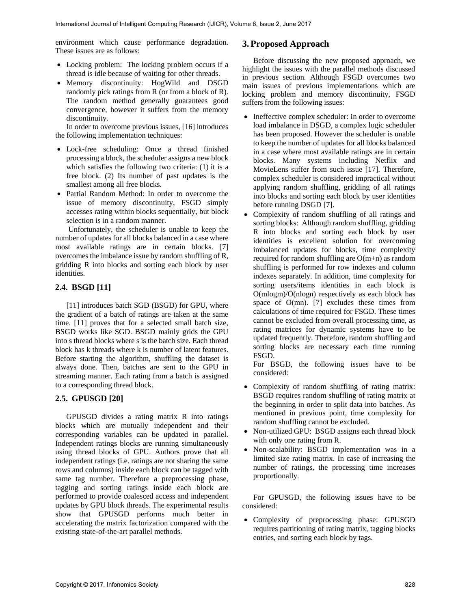environment which cause performance degradation. These issues are as follows:

- Locking problem: The locking problem occurs if a thread is idle because of waiting for other threads.
- Memory discontinuity: HogWild and DSGD randomly pick ratings from R (or from a block of R). The random method generally guarantees good convergence, however it suffers from the memory discontinuity.

In order to overcome previous issues, [16] introduces the following implementation techniques:

- Lock-free scheduling: Once a thread finished processing a block, the scheduler assigns a new block which satisfies the following two criteria: (1) it is a free block. (2) Its number of past updates is the smallest among all free blocks.
- Partial Random Method: In order to overcome the issue of memory discontinuity, FSGD simply accesses rating within blocks sequentially, but block selection is in a random manner.

Unfortunately, the scheduler is unable to keep the number of updates for all blocks balanced in a case where most available ratings are in certain blocks. [7] overcomes the imbalance issue by random shuffling of R, gridding R into blocks and sorting each block by user identities.

## **2.4. BSGD [11]**

[11] introduces batch SGD (BSGD) for GPU, where the gradient of a batch of ratings are taken at the same time. [11] proves that for a selected small batch size, BSGD works like SGD. BSGD mainly grids the GPU into s thread blocks where s is the batch size. Each thread block has k threads where k is number of latent features. Before starting the algorithm, shuffling the dataset is always done. Then, batches are sent to the GPU in streaming manner. Each rating from a batch is assigned to a corresponding thread block.

## **2.5. GPUSGD [20]**

GPUSGD divides a rating matrix R into ratings blocks which are mutually independent and their corresponding variables can be updated in parallel. Independent ratings blocks are running simultaneously using thread blocks of GPU. Authors prove that all independent ratings (i.e. ratings are not sharing the same rows and columns) inside each block can be tagged with same tag number. Therefore a preprocessing phase, tagging and sorting ratings inside each block are performed to provide coalesced access and independent updates by GPU block threads. The experimental results show that GPUSGD performs much better in accelerating the matrix factorization compared with the existing state-of-the-art parallel methods.

# **3.Proposed Approach**

Before discussing the new proposed approach, we highlight the issues with the parallel methods discussed in previous section. Although FSGD overcomes two main issues of previous implementations which are locking problem and memory discontinuity, FSGD suffers from the following issues:

- Ineffective complex scheduler: In order to overcome load imbalance in DSGD, a complex logic scheduler has been proposed. However the scheduler is unable to keep the number of updates for all blocks balanced in a case where most available ratings are in certain blocks. Many systems including Netflix and MovieLens suffer from such issue [17]. Therefore, complex scheduler is considered impractical without applying random shuffling, gridding of all ratings into blocks and sorting each block by user identities before running DSGD [7].
- Complexity of random shuffling of all ratings and sorting blocks: Although random shuffling, gridding R into blocks and sorting each block by user identities is excellent solution for overcoming imbalanced updates for blocks, time complexity required for random shuffling are O(m+n) as random shuffling is performed for row indexes and column indexes separately. In addition, time complexity for sorting users/items identities in each block is O(mlogm)/O(nlogn) respectively as each block has space of O(mn). [7] excludes these times from calculations of time required for FSGD. These times cannot be excluded from overall processing time, as rating matrices for dynamic systems have to be updated frequently. Therefore, random shuffling and sorting blocks are necessary each time running FSGD.

For BSGD, the following issues have to be considered:

- Complexity of random shuffling of rating matrix: BSGD requires random shuffling of rating matrix at the beginning in order to split data into batches. As mentioned in previous point, time complexity for random shuffling cannot be excluded.
- Non-utilized GPU: BSGD assigns each thread block with only one rating from R.
- Non-scalability: BSGD implementation was in a limited size rating matrix. In case of increasing the number of ratings, the processing time increases proportionally.

For GPUSGD, the following issues have to be considered:

• Complexity of preprocessing phase: GPUSGD requires partitioning of rating matrix, tagging blocks entries, and sorting each block by tags.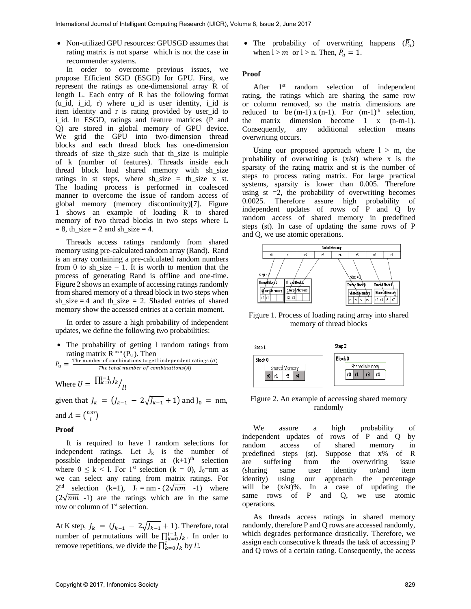• Non-utilized GPU resources: GPUSGD assumes that rating matrix is not sparse which is not the case in recommender systems.

In order to overcome previous issues, we propose Efficient SGD (ESGD) for GPU. First, we represent the ratings as one-dimensional array R of length L. Each entry of R has the following format  $(u$  id, i\_id, r) where u\_id is user identity, i\_id is item identity and r is rating provided by user\_id to i id. In ESGD, ratings and feature matrices (P and Q) are stored in global memory of GPU device. We grid the GPU into two-dimension thread blocks and each thread block has one-dimension threads of size th\_size such that th\_size is multiple of k (number of features). Threads inside each thread block load shared memory with sh\_size ratings in st steps, where  $sh\_size = th\_size$  x st. The loading process is performed in coalesced manner to overcome the issue of random access of global memory (memory discontinuity)[7]. Figure 1 shows an example of loading R to shared memory of two thread blocks in two steps where L  $= 8$ , th\_size  $= 2$  and sh\_size  $= 4$ .

Threads access ratings randomly from shared memory using pre-calculated random array (Rand). Rand is an array containing a pre-calculated random numbers from 0 to sh size – 1. It is worth to mention that the process of generating Rand is offline and one-time. Figure 2 shows an example of accessing ratings randomly from shared memory of a thread block in two steps when sh\_size  $= 4$  and th\_size  $= 2$ . Shaded entries of shared memory show the accessed entries at a certain moment.

In order to assure a high probability of independent updates, we define the following two probabilities:

- The probability of getting 1 random ratings from rating matrix  $R^{mxn}(P_u)$ . Then
- $P_u = \frac{\text{The number of combinations to get l independent ratings } (U)}{\text{The total number of combinations } (2)}$ The total number of combinations $(A)$

Where  $U = \frac{\prod_{k=0}^{l-1} J_k}{l!}$ 

given that  $J_k = (J_{k-1} - 2\sqrt{J_{k-1}} + 1)$  and  $J_0 = nm$ , and  $A = \binom{nm}{l}$  $\binom{m}{l}$ 

#### **Proof**

It is required to have l random selections for independent ratings. Let  $J_k$  is the number of possible independent ratings at  $(k+1)$ <sup>th</sup> selection where  $0 \leq k < 1$ . For 1<sup>st</sup> selection (k = 0), J<sub>0</sub>=nm as we can select any rating from matrix ratings. For  $2<sup>nd</sup>$  selection (k=1),  $J_1 = nm - (2\sqrt{nm} - 1)$  where  $(2\sqrt{nm} -1)$  are the ratings which are in the same row or column of 1<sup>st</sup> selection.

At K step,  $J_k = (J_{k-1} - 2\sqrt{J_{k-1}} + 1)$ . Therefore, total number of permutations will be  $\prod_{k=0}^{l-1} J_k$ . In order to remove repetitions, we divide the  $\prod_{k=0}^{l} J_k$  by  $l!$ .

• The probability of overwriting happens  $(\overline{P}_u)$ when  $l > m$  or  $l > n$ . Then,  $\overline{P_u} = 1$ .

#### **Proof**

After 1<sup>st</sup> random selection of independent rating, the ratings which are sharing the same row or column removed, so the matrix dimensions are reduced to be  $(m-1)$  x  $(n-1)$ . For  $(m-1)^{th}$  selection, the matrix dimension become 1 x (n-m-1). Consequently, any additional selection means overwriting occurs.

Using our proposed approach where  $l > m$ , the probability of overwriting is (x/st) where x is the sparsity of the rating matrix and st is the number of steps to process rating matrix. For large practical systems, sparsity is lower than 0.005. Therefore using  $st = 2$ , the probability of overwriting becomes 0.0025. Therefore assure high probability of independent updates of rows of P and Q by random access of shared memory in predefined steps (st). In case of updating the same rows of P and Q, we use atomic operations.



Figure 1. Process of loading rating array into shared memory of thread blocks



Figure 2. An example of accessing shared memory randomly

We assure a high probability of independent updates of rows of P and Q by random access of shared memory in predefined steps (st). Suppose that x% of R are suffering from the overwriting issue (sharing same user identity or/and item identity) using our approach the percentage will be (x/st)%. In a case of updating the same rows of P and Q, we use atomic operations.

As threads access ratings in shared memory randomly, therefore P and Q rows are accessed randomly, which degrades performance drastically. Therefore, we assign each consecutive k threads the task of accessing P and Q rows of a certain rating. Consequently, the access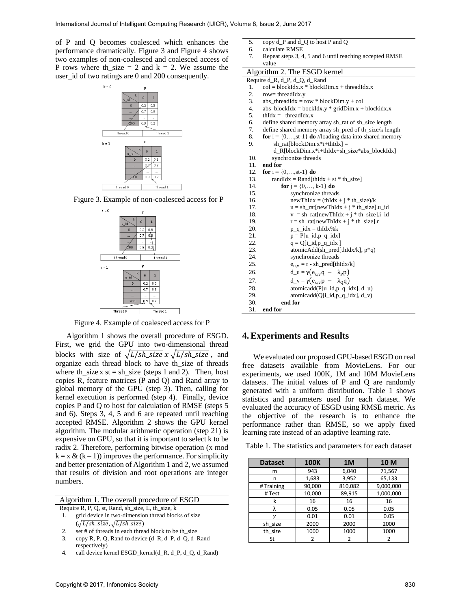of P and Q becomes coalesced which enhances the performance dramatically. Figure 3 and Figure 4 shows two examples of non-coalesced and coalesced access of P rows where th\_size = 2 and  $k = 2$ . We assume the user\_id of two ratings are 0 and 200 consequently.



Figure 3. Example of non-coalesced access for P



Figure 4. Example of coalesced access for P

Algorithm 1 shows the overall procedure of ESGD. First, we grid the GPU into two-dimensional thread blocks with size of  $\sqrt{L/\text{sh\_size}} x \sqrt{L/\text{sh\_size}}$ , and organize each thread block to have th\_size of threads where th\_size x st = sh\_size (steps 1 and 2). Then, host copies R, feature matrices (P and Q) and Rand array to global memory of the GPU (step 3). Then, calling for kernel execution is performed (step 4). Finally, device copies P and Q to host for calculation of RMSE (steps 5 and 6). Steps 3, 4, 5 and 6 are repeated until reaching accepted RMSE. Algorithm 2 shows the GPU kernel algorithm. The modular arithmetic operation (step 21) is expensive on GPU, so that it is important to select k to be radix 2. Therefore, performing bitwise operation (x mod  $k = x \& (k - 1)$  improves the performance. For simplicity and better presentation of Algorithm 1 and 2, we assumed that results of division and root operations are integer numbers.

| Algorithm 1. The overall procedure of ESGD            |
|-------------------------------------------------------|
| Require R, P, Q, st, Rand, sh_size, L, th_size, k     |
| 1. grid device in two-dimension thread blocks of size |

```
(\sqrt{L/sh\_size}, \sqrt{L/sh\_size})set # of threads in each thread block to be th_size
```

```
3. copy R, P, Q, Rand to device (d_R, d_P, d_Q, d_Rand
```
- respectively)
- 4. call device kernel ESGD\_kernel(d\_R, d\_P, d\_Q, d\_Rand)
- 5. copy d\_P and d\_Q to host P and Q
- 6. calculate RMSE
- 7. Repeat steps 3, 4, 5 and 6 until reaching accepted RMSE value

```
Algorithm 2. The ESGD kernel
```
- Require d\_R, d\_P, d\_Q, d\_Rand
- 1.  $col = blockIdx.x * blockDim.x + threadIdx.x$
- 2. row= threadIdx.y<br>3. abs threadIdx =  $r$
- $abs_{\text{a}}$ threadIdx = row \* blockDim.y + col
- 4. abs\_blockIdx = bockIdx.y \* gridDim.x + blockidx.x
- 5.  $thIdx = \text{threadIdx.x}$
- 6. define shared memory array sh\_rat of sh\_size length
- 7. define shared memory array sh\_pred of th\_size/k length
- 8. **for**  $i = \{0, \ldots, st-1\}$  **do** //loading data into shared memory
- 9.  $sh\_rat[blockDim.x^*i+thIdx] =$ 
	- d\_R[blockDim.x\*i+thIdx+sh\_size\*abs\_blockIdx]
- 10. synchronize threads
- 11. **end for**
- 12. **for**  $i = \{0, ..., st-1\}$  **do**
- 13. randIdx = Rand[thIdx + st \* th\_size]
- 14. **for**  $j = \{0, ..., k-1\}$  **do**
- 15. synchronize threads
	-

```
16. newThIdx = (thIdx + j * th_size)/k<br>17. u = sh\_rat[newThldx + j * th\_size]u = sh\_rat[newThIdx + j * th\_size].u_id
```
- 18.  $v = sh\_rat[newThIdx + j * th\_size].i_id$
- 19.  $r = sh\_rat[newThIdx + j * th\_size].r$
- 20.  $p_q_idx = thIdx\%k$ <br>21.  $p = P[u \text{ id}, p \text{ q } idx]$

 $p = P[u_id,p_q_idx]$ 

- 22.  $q = Q[i_id,p_q_idx]$ <br>
23. atomicAdd(sh\_pred[ 23. atomicAdd(sh\_pred[thIdx/k], p\*q)
- 24. synchronize threads
- 25.  $e_{u,v} = r sh\_pred[thIdx/k]$
- 26.  $d_u = \gamma (e_{u,v}q \lambda_p p)$ 
	-
- 27.  $d_v = \gamma(e_{u,v}p \lambda_0q)$ <br>28. atomicadd(P[u\_id,p\_q\_i 28. atomicadd(P[u\_id,p\_q\_idx], d\_u)
- 29. atomicadd(Q[i\_id,p\_q\_idx], d\_v)
- 30. **end for**
- 31. **end for**

### **4.Experiments and Results**

We evaluated our proposed GPU-based ESGD on real free datasets available from MovieLens. For our experiments, we used 100K, 1M and 10M MovieLens datasets. The initial values of P and Q are randomly generated with a uniform distribution. Table 1 shows statistics and parameters used for each dataset. We evaluated the accuracy of ESGD using RMSE metric. As the objective of the research is to enhance the performance rather than RMSE, so we apply fixed learning rate instead of an adaptive learning rate.

Table 1. The statistics and parameters for each dataset

| <b>Dataset</b> | <b>100K</b> | 1 <sub>M</sub> | 10 M      |
|----------------|-------------|----------------|-----------|
| m              | 943         | 6,040          | 71,567    |
| n              | 1,683       | 3,952          | 65,133    |
| #Training      | 90,000      | 810,082        | 9,000,000 |
| # Test         | 10,000      | 89,915         | 1,000,000 |
| k              | 16          | 16             | 16        |
| λ              | 0.05        | 0.05           | 0.05      |
|                | 0.01        | 0.01           | 0.05      |
| sh size        | 2000        | 2000           | 2000      |
| th size        | 1000        | 1000           | 1000      |
| St             | 2           | 2              |           |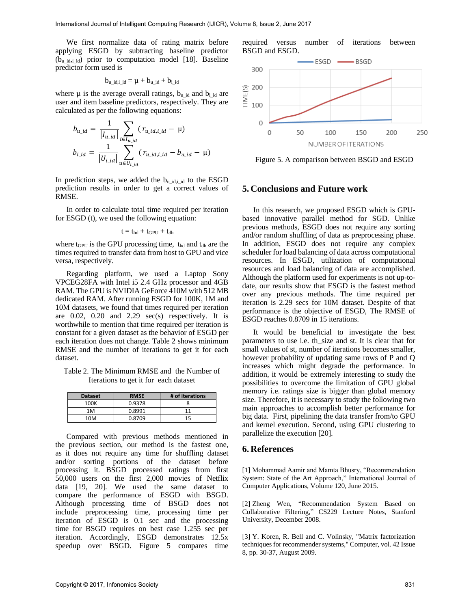We first normalize data of rating matrix before applying ESGD by subtracting baseline predictor  $(b<sub>u_id,i_id</sub>)$  prior to computation model [18]. Baseline predictor form used is

$$
b_{u\_id,i\_id} = \mu + b_{u\_id} + b_{i\_id}
$$

where  $\mu$  is the average overall ratings,  $b_{u_id}$  and  $b_{i_id}$  are user and item baseline predictors, respectively. They are calculated as per the following equations:

$$
b_{u\_id} = \frac{1}{|I_{u\_id}|} \sum_{i \in I_{u\_id}} (r_{u\_id, i\_id} - \mu)
$$
  

$$
b_{i\_id} = \frac{1}{|U_{i\_id}|} \sum_{u \in U_{i\_id}} (r_{u\_id, i\_id} - b_{u\_id} - \mu)
$$

In prediction steps, we added the  $b_u$  id, id to the ESGD prediction results in order to get a correct values of RMSE.

In order to calculate total time required per iteration for ESGD (t), we used the following equation:

$$
t = t_{hd} + t_{GPU} + t_{dh} \\
$$

where  $t_{\text{GPU}}$  is the GPU processing time,  $t_{\text{hd}}$  and  $t_{\text{dh}}$  are the times required to transfer data from host to GPU and vice versa, respectively.

Regarding platform, we used a Laptop Sony VPCEG28FA with Intel i5 2.4 GHz processor and 4GB RAM. The GPU is NVIDIA GeForce 410M with 512 MB dedicated RAM. After running ESGD for 100K, 1M and 10M datasets, we found that times required per iteration are  $0.02$ ,  $0.20$  and  $2.29$  sec(s) respectively. It is worthwhile to mention that time required per iteration is constant for a given dataset as the behavior of ESGD per each iteration does not change. Table 2 shows minimum RMSE and the number of iterations to get it for each dataset.

Table 2. The Minimum RMSE and the Number of Iterations to get it for each dataset

| <b>Dataset</b> | <b>RMSE</b> | # of iterations |
|----------------|-------------|-----------------|
| 100K           | 0.9378      |                 |
| 1M             | 0.8991      | 11              |
| 10M            | 0.8709      | 15              |

Compared with previous methods mentioned in the previous section, our method is the fastest one, as it does not require any time for shuffling dataset and/or sorting portions of the dataset before processing it. BSGD processed ratings from first 50,000 users on the first 2,000 movies of Netflix data [19, 20]. We used the same dataset to compare the performance of ESGD with BSGD. Although processing time of BSGD does not include preprocessing time, processing time per iteration of ESGD is 0.1 sec and the processing time for BSGD requires on best case 1.255 sec per iteration. Accordingly, ESGD demonstrates 12.5x speedup over BSGD. Figure 5 compares time



Figure 5. A comparison between BSGD and ESGD

### **5. Conclusions and Future work**

In this research, we proposed ESGD which is GPUbased innovative parallel method for SGD. Unlike previous methods, ESGD does not require any sorting and/or random shuffling of data as preprocessing phase. In addition, ESGD does not require any complex scheduler for load balancing of data across computational resources. In ESGD, utilization of computational resources and load balancing of data are accomplished. Although the platform used for experiments is not up-todate, our results show that ESGD is the fastest method over any previous methods. The time required per iteration is 2.29 secs for 10M dataset. Despite of that performance is the objective of ESGD, The RMSE of ESGD reaches 0.8709 in 15 iterations.

It would be beneficial to investigate the best parameters to use i.e. th\_size and st. It is clear that for small values of st, number of iterations becomes smaller, however probability of updating same rows of P and Q increases which might degrade the performance. In addition, it would be extremely interesting to study the possibilities to overcome the limitation of GPU global memory i.e. ratings size is bigger than global memory size. Therefore, it is necessary to study the following two main approaches to accomplish better performance for big data. First, pipelining the data transfer from/to GPU and kernel execution. Second, using GPU clustering to parallelize the execution [20].

### **6. References**

[1] Mohammad Aamir and Mamta Bhusry, "Recommendation System: State of the Art Approach," International Journal of Computer Applications, Volume 120, June 2015.

[2] Zheng Wen, "Recommendation System Based on Collaborative Filtering," CS229 Lecture Notes, Stanford University, December 2008.

[3] Y. Koren, R. Bell and C. Volinsky, "Matrix factorization techniques for recommender systems," Computer, vol. 42 Issue 8, pp. 30-37, August 2009.

required versus number of iterations between BSGD and ESGD.